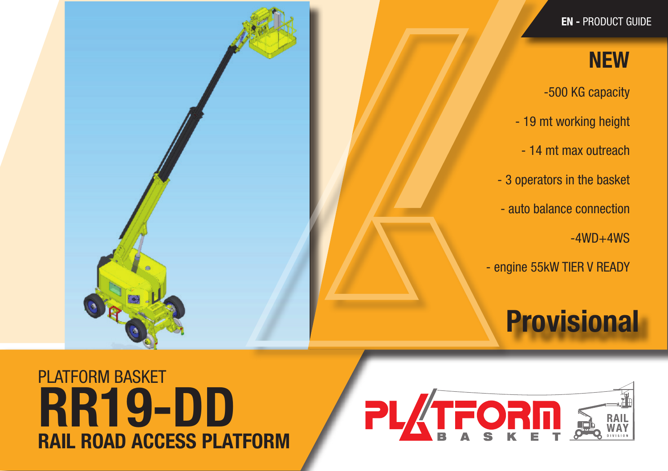EN - PRODUCT GUIDE

### **NEW**

-500 KG capacity

- 19 mt working height
- 14 mt max outreach
- 3 operators in the basket
- auto balance connection
	- $-4WD+4WS$
- engine 55kW TIER V READY

# **Provisional**

## PLATFORM BASKET RAIL ROAD ACCESS PLATFORM RR19-DD

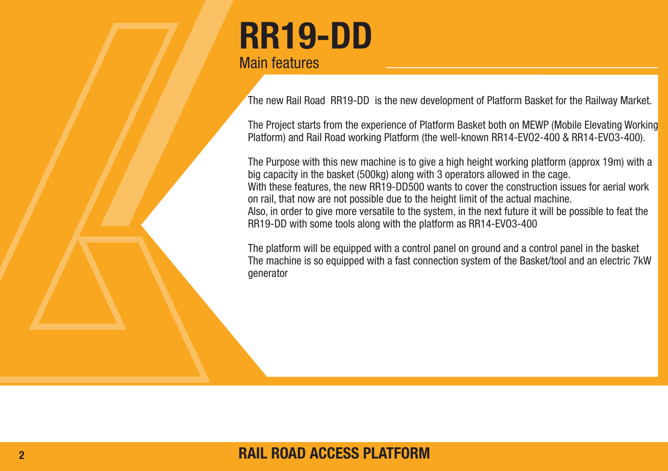## RR19-DD Main features

The new Rail Road RR19-DD is the new development of Platform Basket for the Railway Market.

The Project starts from the experience of Platform Basket both on MEWP (Mobile Elevating Working Platform) and Rail Road working Platform (the well-known RR14-EVO2-400 & RR14-EVO3-400).

The Purpose with this new machine is to give a high height working platform (approx 19m) with a big capacity in the basket (500kg) along with 3 operators allowed in the cage. With these features, the new RR19-DD500 wants to cover the construction issues for aerial work on rail, that now are not possible due to the height limit of the actual machine. Also, in order to give more versatile to the system, in the next future it will be possible to feat the RR19-DD with some tools along with the platform as RR14-EVO3-400

The platform will be equipped with a control panel on ground and a control panel in the basket The machine is so equipped with a fast connection system of the Basket/tool and an electric 7kW generator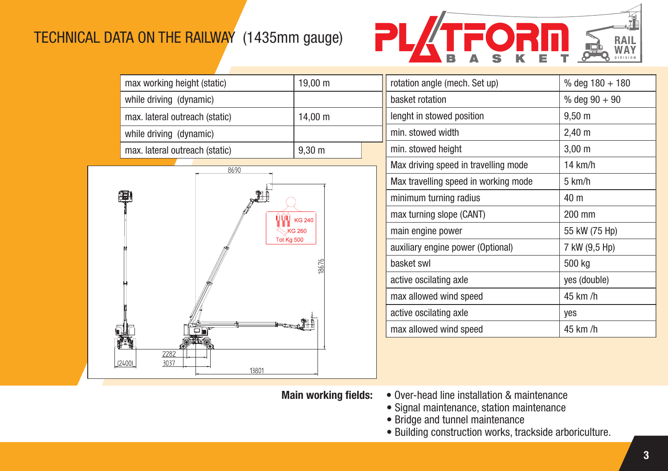#### TECHNICAL DATA ON THE RAILWAY (1435mm gauge)



| max working height (static)    | $19,00 \; \text{m}$ |  |
|--------------------------------|---------------------|--|
| while driving (dynamic)        |                     |  |
| max. lateral outreach (static) | 14,00 $m$           |  |
| while driving (dynamic)        |                     |  |
| max. lateral outreach (static) | $9,30 \; \text{m}$  |  |
|                                |                     |  |



| rotation angle (mech. Set up)        | % deg $180 + 180$  |
|--------------------------------------|--------------------|
| basket rotation                      | % deg $90 + 90$    |
| lenght in stowed position            | $9,50 \; \text{m}$ |
| min. stowed width                    | $2,40 \; \text{m}$ |
| min. stowed height                   | $3,00 \; \text{m}$ |
| Max driving speed in travelling mode | $14$ km/h          |
| Max travelling speed in working mode | 5 km/h             |
| minimum turning radius               | 40 m               |
| max turning slope (CANT)             | 200 mm             |
| main engine power                    | 55 kW (75 Hp)      |
| auxiliary engine power (Optional)    | 7 kW (9,5 Hp)      |
| basket swl                           | 500 kg             |
| active oscilating axle               | yes (double)       |
| max allowed wind speed               | 45 km /h           |
| active oscilating axle               | ves                |
| max allowed wind speed               | 45 km /h           |
|                                      |                    |

- Main working fields: Over-head line installation & maintenance
- Signal maintenance, station maintenance
- Bridge and tunnel maintenance
	- Building construction works, trackside arboriculture.